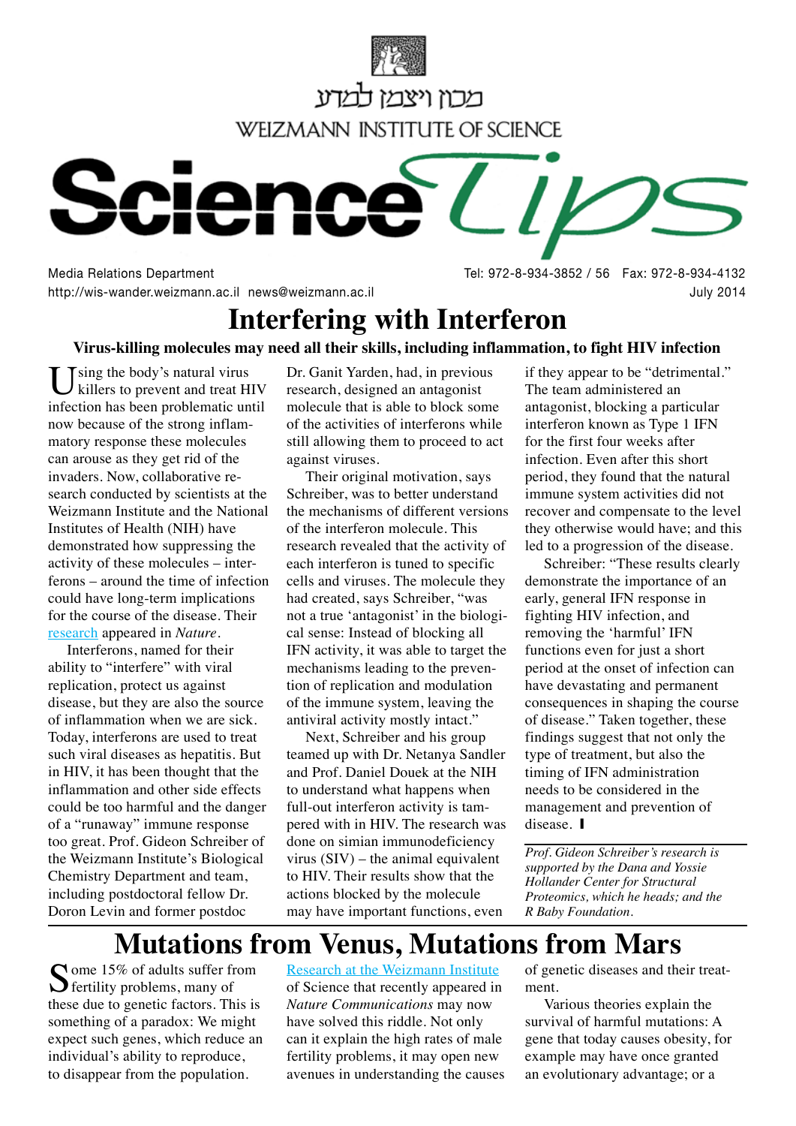



http://wis-wander.weizmann.ac.il news@weizmann.ac.il **bully 2014** July 2014

Media Relations Department and Society and Separate Separate Separate Separate Separate Separate Separate Separ

## **Interfering with Interferon**

## Virus-killing molecules may need all their skills, including inflammation, to fight HIV infection

Tsing the body's natural virus killers to prevent and treat HIV infection has been problematic until matory response these molecules now because of the strong inflamcan arouse as they get rid of the search conducted by scientists at the invaders. Now, collaborative re-Weizmann Institute and the National Institutes of Health (NIH) have demonstrated how suppressing the ferons – around the time of infection activity of these molecules  $-$  intercould have long-term implications for the course of the disease. Their research appeared in Nature.

Interferons, named for their ability to "interfere" with viral replication, protect us against disease, but they are also the source of inflammation when we are sick. Today, interferons are used to treat such viral diseases as hepatitis. But in HIV, it has been thought that the inflammation and other side effects could be too harmful and the danger of a "runaway" immune response too great. Prof. Gideon Schreiber of the Weizmann Institute's Biological Chemistry Department and team, including postdoctoral fellow Dr. Doron Levin and former postdoc

Dr. Ganit Yarden, had, in previous research, designed an antagonist molecule that is able to block some of the activities of interferons while still allowing them to proceed to act against viruses.

Their original motivation, says Schreiber, was to better understand the mechanisms of different versions of the interferon molecule. This research revealed that the activity of each interferon is tuned to specific cells and viruses. The molecule they had created, says Schreiber, "was cal sense: Instead of blocking all not a true 'antagonist' in the biologi-IFN activity, it was able to target the tion of replication and modulation mechanisms leading to the prevenof the immune system, leaving the antiviral activity mostly intact."

Next, Schreiber and his group teamed up with Dr. Netanya Sandler and Prof. Daniel Douek at the NIH to understand what happens when pered with in HIV. The research was full-out interferon activity is tamdone on simian immunodeficiency virus  $(SIV)$  – the animal equivalent to HIV. Their results show that the actions blocked by the molecule may have important functions, even

if they appear to be "detrimental." The team administered an antagonist, blocking a particular interferon known as Type 1 IFN for the first four weeks after infection. Even after this short period, they found that the natural immune system activities did not recover and compensate to the level they otherwise would have; and this led to a progression of the disease.

Schreiber: "These results clearly demonstrate the importance of an early, general IFN response in fighting HIV infection, and removing the 'harmful' IFN functions even for just a short period at the onset of infection can have devastating and permanent consequences in shaping the course of disease." Taken together, these findings suggest that not only the type of treatment, but also the timing of IFN administration needs to be considered in the management and prevention of disease. **I** 

*Prof. Gideon Schreiber's research is supported by the Dana and Yossie* **Hollander Center for Structural** *Proteomics, which he heads; and the R* Baby Foundation.

## **Mutations from Venus, Mutations from Mars**

 $\sum$  ome 15% of adults suffer from  $\bigcup$  fertility problems, many of these due to genetic factors. This is something of a paradox: We might expect such genes, which reduce an individual's ability to reproduce, to disappear from the population.

Research at the Weizmann Institute of Science that recently appeared in **Nature Communications may now** have solved this riddle. Not only can it explain the high rates of male fertility problems, it may open new avenues in understanding the causes of genetic diseases and their treat-<br>ment.

Various theories explain the survival of harmful mutations: A gene that today causes obesity, for example may have once granted an evolutionary advantage; or a